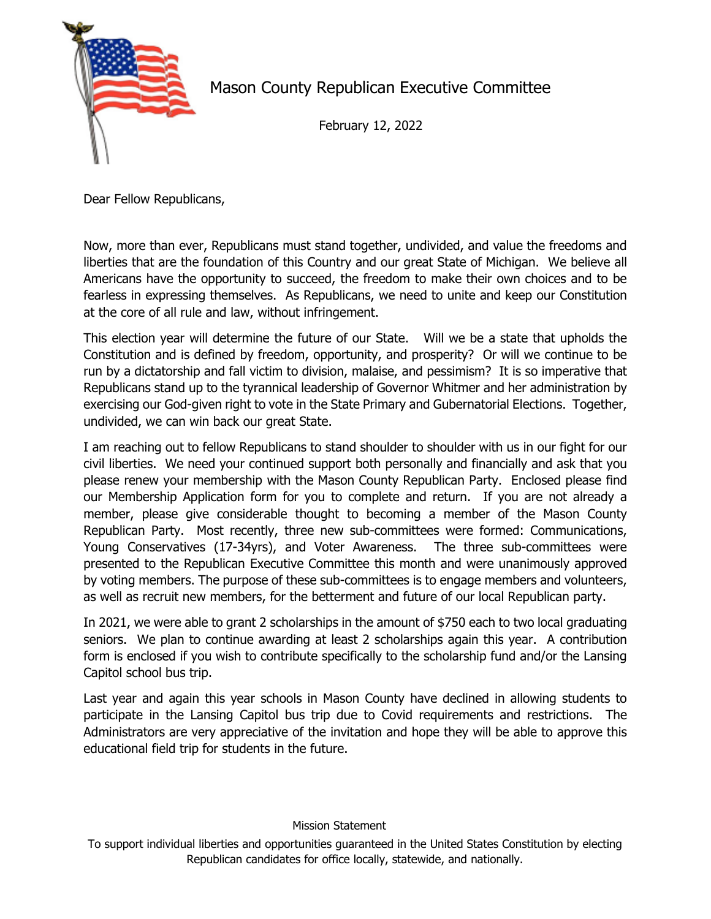

Mason County Republican Executive Committee

February 12, 2022

Dear Fellow Republicans,

Now, more than ever, Republicans must stand together, undivided, and value the freedoms and liberties that are the foundation of this Country and our great State of Michigan. We believe all Americans have the opportunity to succeed, the freedom to make their own choices and to be fearless in expressing themselves. As Republicans, we need to unite and keep our Constitution at the core of all rule and law, without infringement.

This election year will determine the future of our State. Will we be a state that upholds the Constitution and is defined by freedom, opportunity, and prosperity? Or will we continue to be run by a dictatorship and fall victim to division, malaise, and pessimism? It is so imperative that Republicans stand up to the tyrannical leadership of Governor Whitmer and her administration by exercising our God-given right to vote in the State Primary and Gubernatorial Elections. Together, undivided, we can win back our great State.

I am reaching out to fellow Republicans to stand shoulder to shoulder with us in our fight for our civil liberties. We need your continued support both personally and financially and ask that you please renew your membership with the Mason County Republican Party. Enclosed please find our Membership Application form for you to complete and return. If you are not already a member, please give considerable thought to becoming a member of the Mason County Republican Party. Most recently, three new sub-committees were formed: Communications, Young Conservatives (17-34yrs), and Voter Awareness. The three sub-committees were presented to the Republican Executive Committee this month and were unanimously approved by voting members. The purpose of these sub-committees is to engage members and volunteers, as well as recruit new members, for the betterment and future of our local Republican party.

In 2021, we were able to grant 2 scholarships in the amount of \$750 each to two local graduating seniors. We plan to continue awarding at least 2 scholarships again this year. A contribution form is enclosed if you wish to contribute specifically to the scholarship fund and/or the Lansing Capitol school bus trip.

Last year and again this year schools in Mason County have declined in allowing students to participate in the Lansing Capitol bus trip due to Covid requirements and restrictions. The Administrators are very appreciative of the invitation and hope they will be able to approve this educational field trip for students in the future.

## Mission Statement

To support individual liberties and opportunities guaranteed in the United States Constitution by electing Republican candidates for office locally, statewide, and nationally.